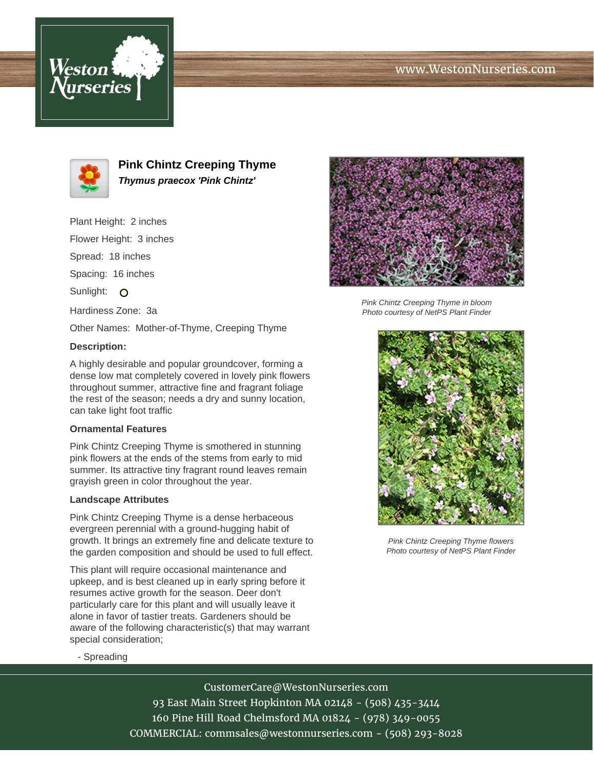# www.WestonNurseries.com





**Pink Chintz Creeping Thyme Thymus praecox 'Pink Chintz'**

Plant Height: 2 inches Flower Height: 3 inches Spread: 18 inches Spacing: 16 inches Sunlight: O

Hardiness Zone: 3a

Other Names: Mother-of-Thyme, Creeping Thyme

## **Description:**

A highly desirable and popular groundcover, forming a dense low mat completely covered in lovely pink flowers throughout summer, attractive fine and fragrant foliage the rest of the season; needs a dry and sunny location, can take light foot traffic

### **Ornamental Features**

Pink Chintz Creeping Thyme is smothered in stunning pink flowers at the ends of the stems from early to mid summer. Its attractive tiny fragrant round leaves remain grayish green in color throughout the year.

### **Landscape Attributes**

Pink Chintz Creeping Thyme is a dense herbaceous evergreen perennial with a ground-hugging habit of growth. It brings an extremely fine and delicate texture to the garden composition and should be used to full effect.

This plant will require occasional maintenance and upkeep, and is best cleaned up in early spring before it resumes active growth for the season. Deer don't particularly care for this plant and will usually leave it alone in favor of tastier treats. Gardeners should be aware of the following characteristic(s) that may warrant special consideration;



Pink Chintz Creeping Thyme in bloom Photo courtesy of NetPS Plant Finder



Pink Chintz Creeping Thyme flowers Photo courtesy of NetPS Plant Finder

### - Spreading

CustomerCare@WestonNurseries.com 93 East Main Street Hopkinton MA 02148 - (508) 435-3414 160 Pine Hill Road Chelmsford MA 01824 - (978) 349-0055 COMMERCIAL: commsales@westonnurseries.com - (508) 293-8028